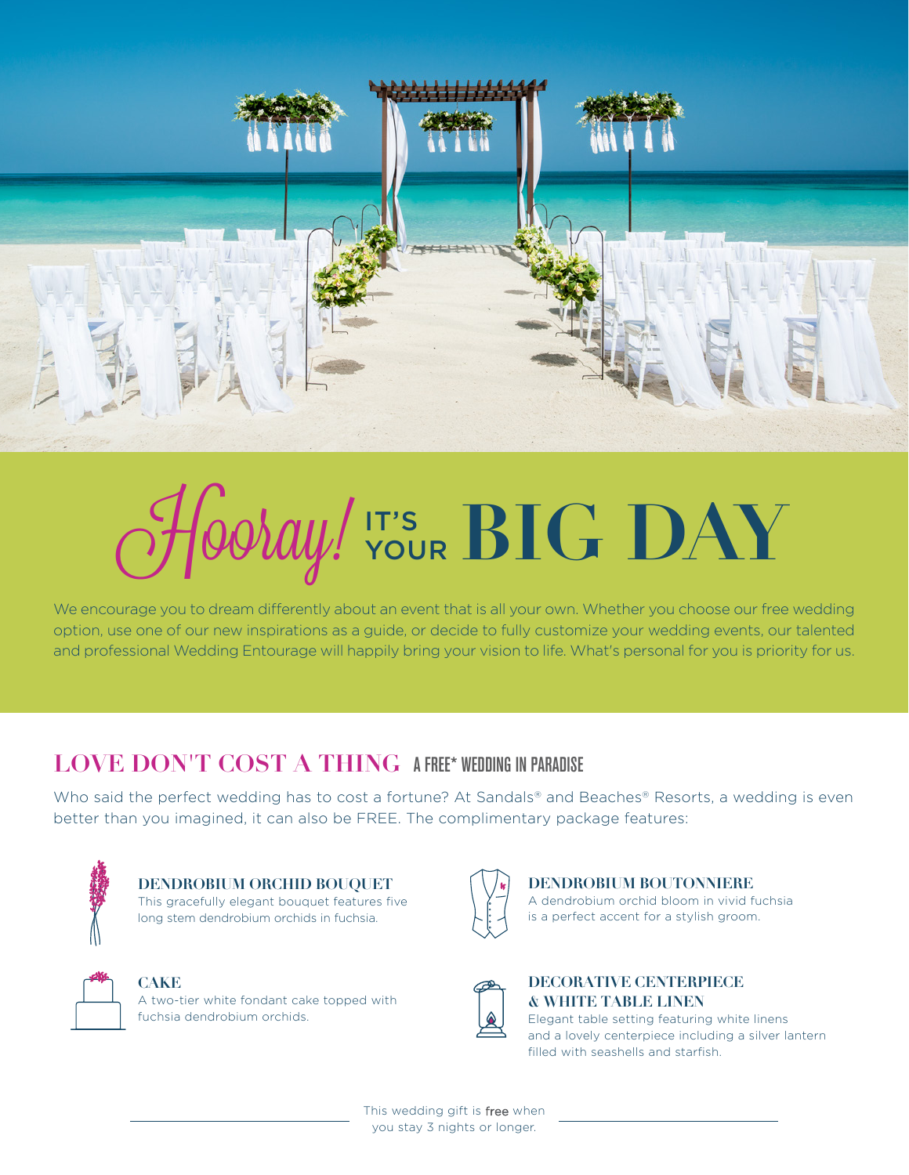

# $\mathcal{H}$ Ooray!  $\mathbf{V}$   $\mathbf{V}$   $\mathbf{BIC}$   $\mathbf{DAY}$

We encourage you to dream differently about an event that is all your own. Whether you choose our free wedding option, use one of our new inspirations as a guide, or decide to fully customize your wedding events, our talented and professional Wedding Entourage will happily bring your vision to life. What's personal for you is priority for us.

# **LOVE DON'T COST A THING A FREE\* WEDDING IN PARADISE**

Who said the perfect wedding has to cost a fortune? At Sandals® and Beaches® Resorts, a wedding is even better than you imagined, it can also be FREE. The complimentary package features:



**DENDROBIUM ORCHID BOUQUET** This gracefully elegant bouquet features five long stem dendrobium orchids in fuchsia.



### **CAKE**

A two-tier white fondant cake topped with fuchsia dendrobium orchids.



**DENDROBIUM BOUTONNIERE** A dendrobium orchid bloom in vivid fuchsia is a perfect accent for a stylish groom.



## **DECORATIVE CENTERPIECE & WHITE TABLE LINEN**

Elegant table setting featuring white linens and a lovely centerpiece including a silver lantern filled with seashells and starfish.

This wedding gift is free when you stay 3 nights or longer.